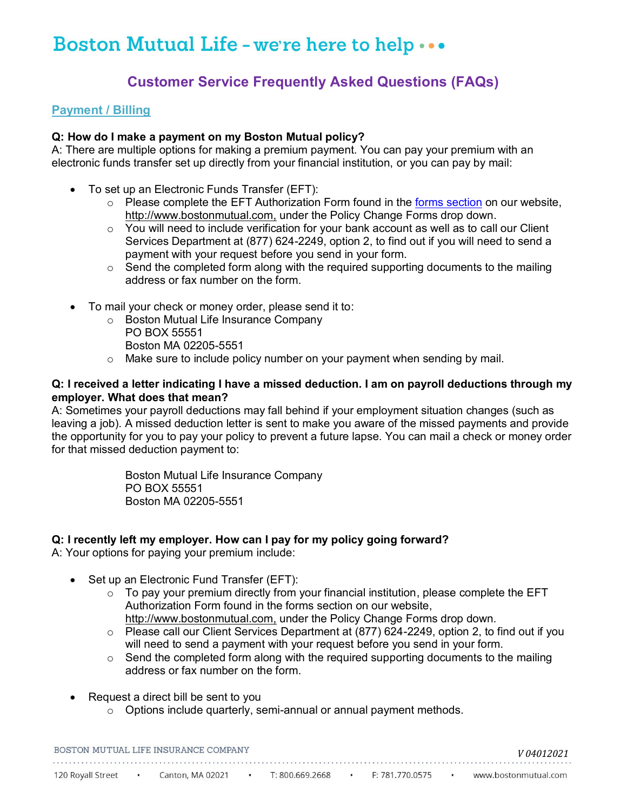# **Customer Service Frequently Asked Questions (FAQs)**

#### **Payment / Billing**

### **Q: How do I make a payment on my Boston Mutual policy?**

 A: There are multiple options for making a premium payment. You can pay your premium with an electronic funds transfer set up directly from your financial institution, or you can pay by mail:

- To set up an Electronic Funds Transfer (EFT):
	- Please complete the EFT Authorization Form found in the [forms section](https://www.bostonmutual.com/services/services-for-individuals/) on our website, [http://www.bostonmutual.com,](http://www.bostonmutual.com/) under the Policy Change Forms drop down.
	- $\circ$  You will need to include verification for your bank account as well as to call our Client Services Department at (877) 624-2249, option 2, to find out if you will need to send a payment with your request before you send in your form.
	- $\circ$  Send the completed form along with the required supporting documents to the mailing address or fax number on the form.
- To mail your check or money order, please send it to:
	- o Boston Mutual Life Insurance Company PO BOX 55551
		- Boston MA 02205-5551
	- o Make sure to include policy number on your payment when sending by mail.

#### **Q: I received a letter indicating I have a missed deduction. I am on payroll deductions through my employer. What does that mean?**

 A: Sometimes your payroll deductions may fall behind if your employment situation changes (such as leaving a job). A missed deduction letter is sent to make you aware of the missed payments and provide the opportunity for you to pay your policy to prevent a future lapse. You can mail a check or money order for that missed deduction payment to:

> Boston Mutual Life Insurance Company PO BOX 55551 Boston MA 02205-5551

#### **Q: I recently left my employer. How can I pay for my policy going forward?**

A: Your options for paying your premium include:

- Set up an Electronic Fund Transfer (EFT):
	- $\circ$  To pay your premium directly from your financial institution, please complete the EFT Authorization Form found in the forms section on our website,
		- [http://www.bostonmutual.com,](http://www.bostonmutual.com/) under the Policy Change Forms drop down.
	- $\circ$  Please call our Client Services Department at (877) 624-2249, option 2, to find out if you will need to send a payment with your request before you send in your form.
	- $\circ$  Send the completed form along with the required supporting documents to the mailing address or fax number on the form.
- Request a direct bill be sent to you
	- $\circ$  Options include quarterly, semi-annual or annual payment methods.

| BOSTON MUTUAL LIFE INSURANCE COMPANY | V 04012021       |                 |                 |  |                      |
|--------------------------------------|------------------|-----------------|-----------------|--|----------------------|
|                                      |                  |                 |                 |  |                      |
| 120 Royall Street                    | Canton, MA 02021 | T: 800.669.2668 | F: 781.770.0575 |  | www.bostonmutual.com |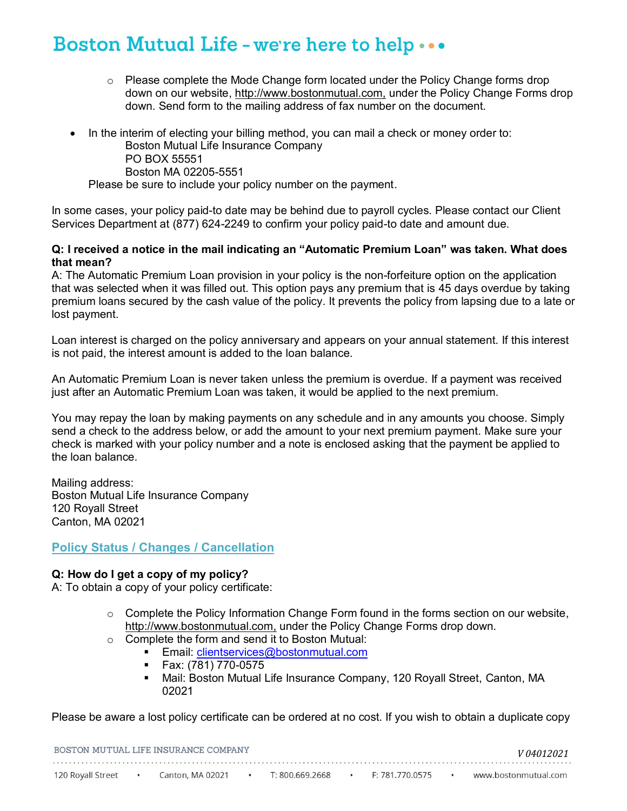- $\circ$  Please complete the Mode Change form located under the Policy Change forms drop down on our website, <u>http://www.bostonmutual.com,</u> under the Policy Change Forms drop down. Send form to the mailing address of fax number on the document.
- In the interim of electing your billing method, you can mail a check or money order to: Boston Mutual Life Insurance Company PO BOX 55551 Boston MA 02205-5551 Please be sure to include your policy number on the payment.

 In some cases, your policy paid-to date may be behind due to payroll cycles. Please contact our Client Services Department at (877) 624-2249 to confirm your policy paid-to date and amount due.

#### **Q: I received a notice in the mail indicating an "Automatic Premium Loan" was taken. What does that mean?**

 A: The Automatic Premium Loan provision in your policy is the non-forfeiture option on the application that was selected when it was filled out. This option pays any premium that is 45 days overdue by taking premium loans secured by the cash value of the policy. It prevents the policy from lapsing due to a late or lost payment.

 Loan interest is charged on the policy anniversary and appears on your annual statement. If this interest is not paid, the interest amount is added to the loan balance.

 An Automatic Premium Loan is never taken unless the premium is overdue. If a payment was received just after an Automatic Premium Loan was taken, it would be applied to the next premium.

 You may repay the loan by making payments on any schedule and in any amounts you choose. Simply send a check to the address below, or add the amount to your next premium payment. Make sure your check is marked with your policy number and a note is enclosed asking that the payment be applied to the loan balance.

 Boston Mutual Life Insurance Company 120 Royall Street Canton, MA 02021 Mailing address:

# **Policy Status / Changes / Cancellation**

### **Q: How do I get a copy of my policy?**

A: To obtain a copy of your policy certificate:

- $\circ$  Complete the Policy Information Change Form found in the forms section on our website, [http://www.bostonmutual.com,](http://www.bostonmutual.com/) under the Policy Change Forms drop down.
- $\circ$  Complete the form and send it to Boston Mutual:
	- Email: <u>clientservices@bostonmutual.com</u><br>■ Fax<sup>.</sup> (781) 770-0575
	- Fax: (781) 770-0575
	- Mail: Boston Mutual Life Insurance Company, 120 Royall Street, Canton, MA 02021

Please be aware a lost policy certificate can be ordered at no cost. If you wish to obtain a duplicate copy

| BOSTON MUTUAL LIFE INSURANCE COMPANY |  |                  |  |                 |  |                 |  | V04012021            |
|--------------------------------------|--|------------------|--|-----------------|--|-----------------|--|----------------------|
|                                      |  |                  |  |                 |  |                 |  |                      |
| 120 Royall Street                    |  | Canton, MA 02021 |  | T: 800.669.2668 |  | F: 781.770.0575 |  | www.bostonmutual.com |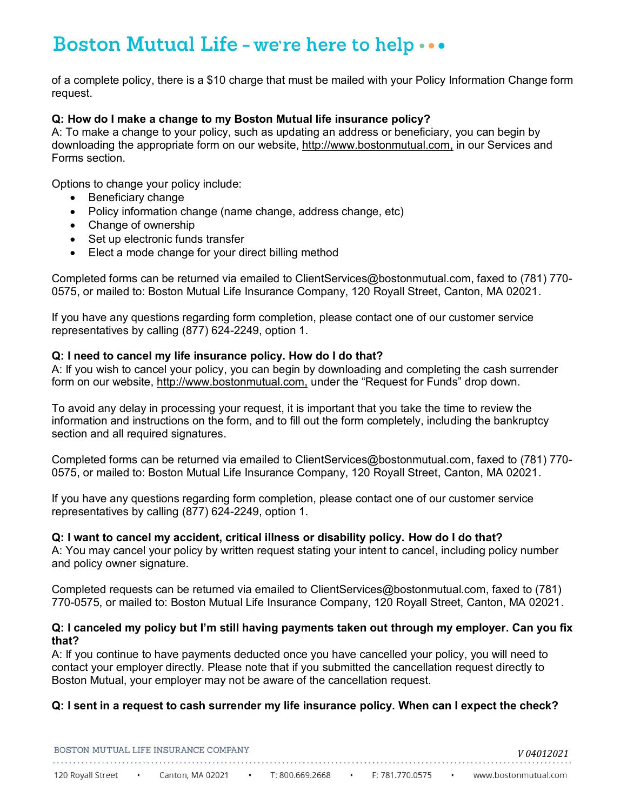of a complete policy, there is a \$10 charge that must be mailed with your Policy Information Change form request.

### **Q: How do I make a change to my Boston Mutual life insurance policy?**

 A: To make a change to your policy, such as updating an address or beneficiary, you can begin by downloading the appropriate form on our website, <u>http://www.bostonmutual.com,</u> in our Services and Forms section.

Options to change your policy include:

- Beneficiary change
- Policy information change (name change, address change, etc)
- Change of ownership
- Set up electronic funds transfer
- Elect a mode change for your direct billing method

 Completed forms can be returned via emailed to [ClientServices@bostonmutual.com](mailto:clientservices@bostonmutual.com), faxed to (781) 770- 0575, or mailed to: Boston Mutual Life Insurance Company, 120 Royall Street, Canton, MA 02021.

 If you have any questions regarding form completion, please contact one of our customer service representatives by calling (877) 624-2249, option 1.

### **Q: I need to cancel my life insurance policy. How do I do that?**

 A: If you wish to cancel your policy, you can begin by downloading and completing the cash surrender form on our website, <u>http://www.bostonmutual.com,</u> under the "Request for Funds" drop down.

 To avoid any delay in processing your request, it is important that you take the time to review the information and instructions on the form, and to fill out the form completely, including the bankruptcy section and all required signatures.

 Completed forms can be returned via emailed to [ClientServices@bostonmutual.com](mailto:clientservices@bostonmutual.com), faxed to (781) 770- 0575, or mailed to: Boston Mutual Life Insurance Company, 120 Royall Street, Canton, MA 02021.

 If you have any questions regarding form completion, please contact one of our customer service representatives by calling (877) 624-2249, option 1.

### **Q: I want to cancel my accident, critical illness or disability policy. How do I do that?**

 A: You may cancel your policy by written request stating your intent to cancel, including policy number and policy owner signature.

 Completed requests can be returned via emailed to [ClientServices@bostonmutual.com](mailto:clientservices@bostonmutual.com), faxed to (781) 770-0575, or mailed to: Boston Mutual Life Insurance Company, 120 Royall Street, Canton, MA 02021.

#### **Q: I canceled my policy but I'm still having payments taken out through my employer. Can you fix that?**

 A: If you continue to have payments deducted once you have cancelled your policy, you will need to contact your employer directly. Please note that if you submitted the cancellation request directly to Boston Mutual, your employer may not be aware of the cancellation request.

# **Q: I sent in a request to cash surrender my life insurance policy. When can I expect the check?**

| BOSTON MUTUAL LIFE INSURANCE COMPANY | V 04012021       |                 |                 |  |                      |
|--------------------------------------|------------------|-----------------|-----------------|--|----------------------|
|                                      |                  |                 |                 |  |                      |
| 120 Royall Street                    | Canton, MA 02021 | T: 800,669,2668 | F: 781.770.0575 |  | www.bostonmutual.com |